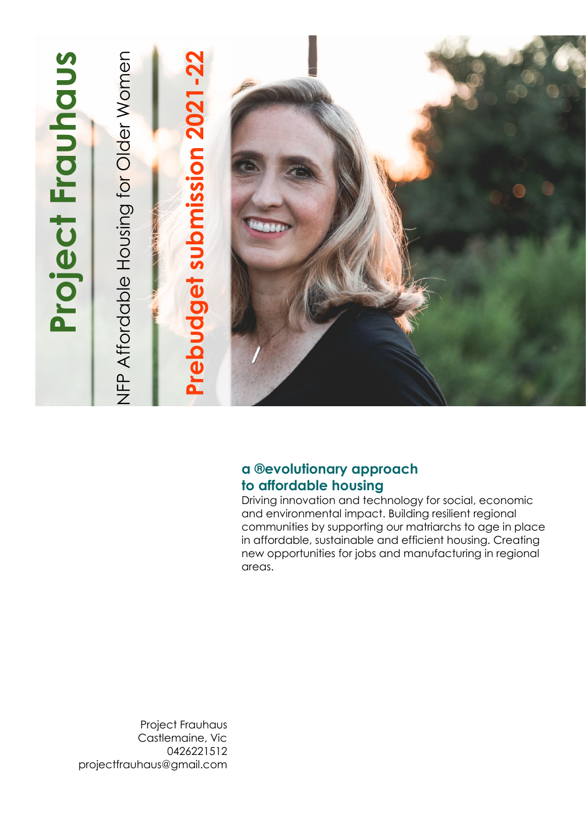

### **a ®evolutionary approach to affordable housing**

Driving innovation and technology for social, economic and environmental impact. Building resilient regional communities by supporting our matriarchs to age in place in affordable, sustainable and efficient housing. Creating new opportunities for jobs and manufacturing in regional areas.

Project Frauhaus Castlemaine, Vic 0426221512 projectfrauhaus@gmail.com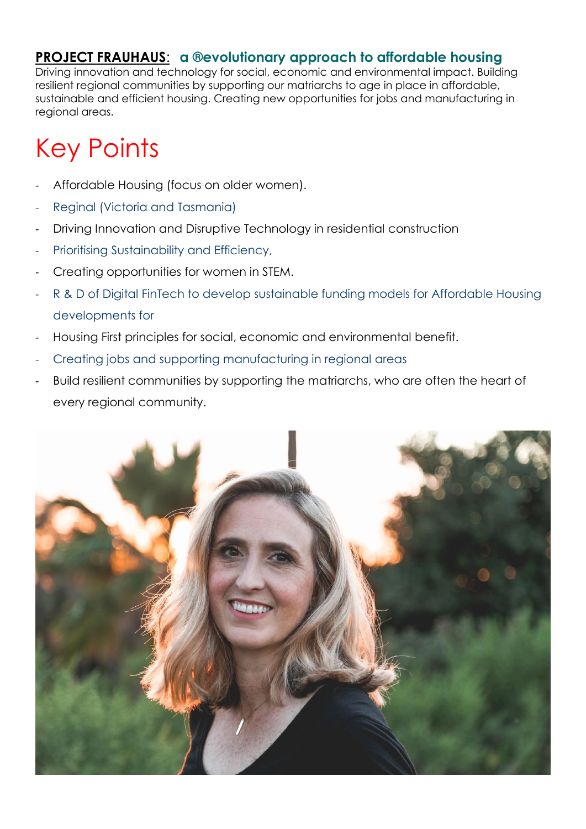Driving innovation and technology for social, economic and environmental impact. Building resilient regional communities by supporting our matriarchs to age in place in affordable, sustainable and efficient housing. Creating new opportunities for jobs and manufacturing in regional areas.

# Key Points

- Affordable Housing (focus on older women).
- Reginal (Victoria and Tasmania)
- Driving Innovation and Disruptive Technology in residential construction
- Prioritising Sustainability and Efficiency,
- Creating opportunities for women in STEM.
- R & D of Digital FinTech to develop sustainable funding models for Affordable Housing developments for
- Housing First principles for social, economic and environmental benefit.
- Creating jobs and supporting manufacturing in regional areas
- Build resilient communities by supporting the matriarchs, who are often the heart of every regional community.

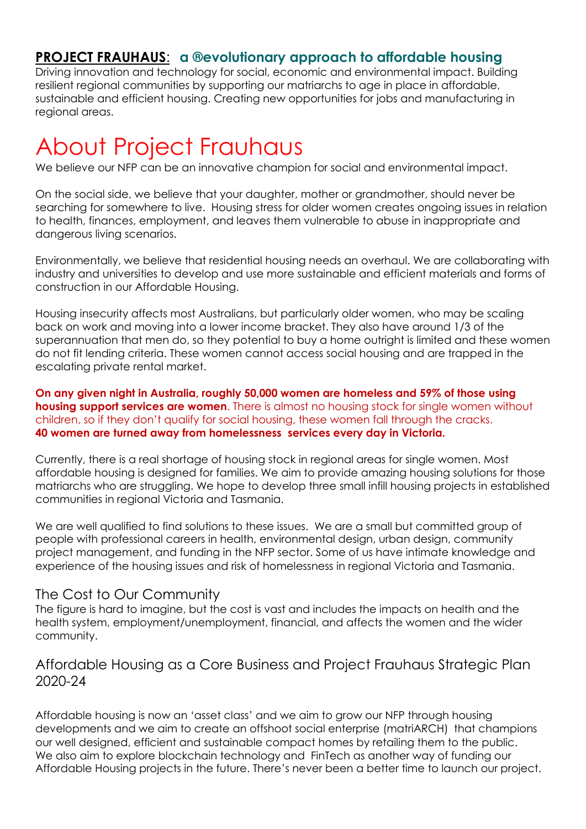Driving innovation and technology for social, economic and environmental impact. Building resilient regional communities by supporting our matriarchs to age in place in affordable, sustainable and efficient housing. Creating new opportunities for jobs and manufacturing in regional areas.

## About Project Frauhaus

We believe our NFP can be an innovative champion for social and environmental impact.

On the social side, we believe that your daughter, mother or grandmother, should never be searching for somewhere to live. Housing stress for older women creates ongoing issues in relation to health, finances, employment, and leaves them vulnerable to abuse in inappropriate and dangerous living scenarios.

Environmentally, we believe that residential housing needs an overhaul. We are collaborating with industry and universities to develop and use more sustainable and efficient materials and forms of construction in our Affordable Housing.

Housing insecurity affects most Australians, but particularly older women, who may be scaling back on work and moving into a lower income bracket. They also have around 1/3 of the superannuation that men do, so they potential to buy a home outright is limited and these women do not fit lending criteria. These women cannot access social housing and are trapped in the escalating private rental market.

**On any given night in Australia, roughly 50,000 women are homeless and 59% of those using housing support services are women**. There is almost no housing stock for single women without children, so if they don't qualify for social housing, these women fall through the cracks. **40 women are turned away from homelessness services every day in Victoria.**

Currently, there is a real shortage of housing stock in regional areas for single women. Most affordable housing is designed for families. We aim to provide amazing housing solutions for those matriarchs who are struggling. We hope to develop three small infill housing projects in established communities in regional Victoria and Tasmania.

We are well qualified to find solutions to these issues. We are a small but committed group of people with professional careers in health, environmental design, urban design, community project management, and funding in the NFP sector. Some of us have intimate knowledge and experience of the housing issues and risk of homelessness in regional Victoria and Tasmania.

#### The Cost to Our Community

The figure is hard to imagine, but the cost is vast and includes the impacts on health and the health system, employment/unemployment, financial, and affects the women and the wider community.

### Affordable Housing as a Core Business and Project Frauhaus Strategic Plan 2020-24

Affordable housing is now an 'asset class' and we aim to grow our NFP through housing developments and we aim to create an offshoot social enterprise (matriARCH) that champions our well designed, efficient and sustainable compact homes by retailing them to the public. We also aim to explore blockchain technology and FinTech as another way of funding our Affordable Housing projects in the future. There's never been a better time to launch our project.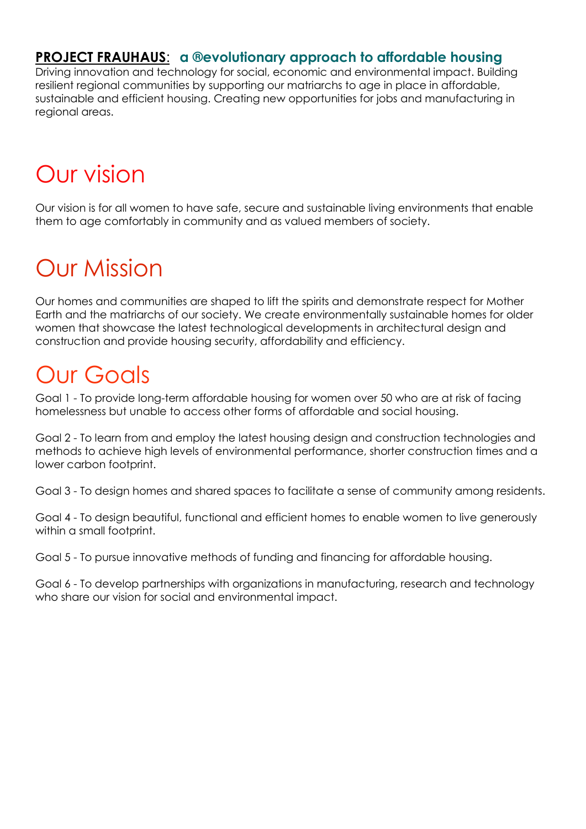Driving innovation and technology for social, economic and environmental impact. Building resilient regional communities by supporting our matriarchs to age in place in affordable, sustainable and efficient housing. Creating new opportunities for jobs and manufacturing in regional areas.

## Our vision

Our vision is for all women to have safe, secure and sustainable living environments that enable them to age comfortably in community and as valued members of society.

## Our Mission

Our homes and communities are shaped to lift the spirits and demonstrate respect for Mother Earth and the matriarchs of our society. We create environmentally sustainable homes for older women that showcase the latest technological developments in architectural design and construction and provide housing security, affordability and efficiency.

### Our Goals

Goal 1 - To provide long-term affordable housing for women over 50 who are at risk of facing homelessness but unable to access other forms of affordable and social housing.

Goal 2 - To learn from and employ the latest housing design and construction technologies and methods to achieve high levels of environmental performance, shorter construction times and a lower carbon footprint.

Goal 3 - To design homes and shared spaces to facilitate a sense of community among residents.

Goal 4 - To design beautiful, functional and efficient homes to enable women to live generously within a small footprint.

Goal 5 - To pursue innovative methods of funding and financing for affordable housing.

Goal 6 - To develop partnerships with organizations in manufacturing, research and technology who share our vision for social and environmental impact.